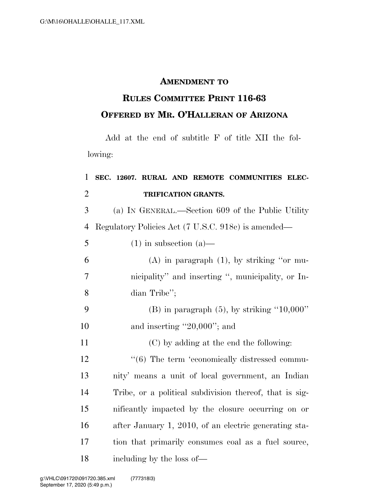## **AMENDMENT TO**

## **RULES COMMITTEE PRINT 116-63 OFFERED BY MR. O'HALLERAN OF ARIZONA**

Add at the end of subtitle F of title XII the following:

## 1 **SEC. 12607. RURAL AND REMOTE COMMUNITIES ELEC-**2 **TRIFICATION GRANTS.**

3 (a) IN GENERAL.—Section 609 of the Public Utility 4 Regulatory Policies Act (7 U.S.C. 918c) is amended—

 $5 \t(1)$  in subsection (a)—

| 6  | $(A)$ in paragraph $(1)$ , by striking "or mu-    |
|----|---------------------------------------------------|
| -7 | nicipality" and inserting ", municipality, or In- |
| 8  | dian Tribe'';                                     |
|    |                                                   |

9 (B) in paragraph  $(5)$ , by striking "10,000" 10 and inserting "20,000"; and

11 (C) by adding at the end the following:

 $\frac{1}{6}$  The term 'economically distressed commu- nity' means a unit of local government, an Indian Tribe, or a political subdivision thereof, that is sig- nificantly impacted by the closure occurring on or after January 1, 2010, of an electric generating sta- tion that primarily consumes coal as a fuel source, including by the loss of